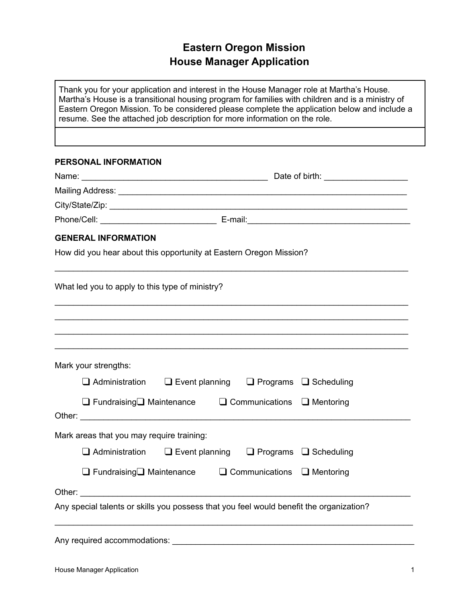## **Eastern Oregon Mission House Manager Application**

Thank you for your application and interest in the House Manager role at Martha's House. Martha's House is a transitional housing program for families with children and is a ministry of Eastern Oregon Mission. To be considered please complete the application below and include a resume. See the attached job description for more information on the role.

## **PERSONAL INFORMATION**

| <b>GENERAL INFORMATION</b>                                                              |  |  |
|-----------------------------------------------------------------------------------------|--|--|
| How did you hear about this opportunity at Eastern Oregon Mission?                      |  |  |
| What led you to apply to this type of ministry?                                         |  |  |
|                                                                                         |  |  |
| Mark your strengths:                                                                    |  |  |
| $\Box$ Administration $\Box$ Event planning $\Box$ Programs $\Box$ Scheduling           |  |  |
| $\Box$ Fundraising $\Box$ Maintenance $\Box$ Communications $\Box$ Mentoring            |  |  |
| Mark areas that you may require training:                                               |  |  |
| $\Box$ Administration<br>$\Box$ Event planning $\Box$ Programs $\Box$ Scheduling        |  |  |
| $\Box$ Fundraising $\Box$ Maintenance $\Box$ Communications $\Box$ Mentoring            |  |  |
|                                                                                         |  |  |
| Any special talents or skills you possess that you feel would benefit the organization? |  |  |
| Any required accommodations:                                                            |  |  |